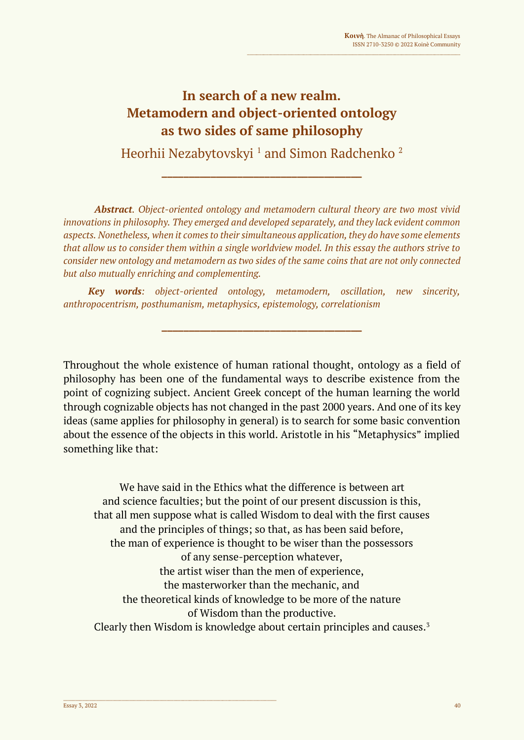## **In search of a new realm. Metamodern and object-oriented ontology as two sides of same philosophy**

Heorhii Nezabytovskyi<sup>1</sup> and Simon Radchenko<sup>2</sup>

**\_\_\_\_\_\_\_\_\_\_\_\_\_\_\_\_\_\_\_\_\_\_\_\_\_\_\_\_\_\_\_\_\_\_\_\_\_**

*Abstract. Object-oriented ontology and metamodern cultural theory are two most vivid innovations in philosophy. They emerged and developed separately, and they lack evident common aspects. Nonetheless, when it comes to their simultaneous application, they do have some elements that allow us to consider them within a single worldview model. In this essay the authors strive to consider new ontology and metamodern as two sides of the same coins that are not only connected but also mutually enriching and complementing.*

*Key words: object-oriented ontology, metamodern, oscillation, new sincerity, anthropocentrism, posthumanism, metaphysics, epistemology, correlationism*

**\_\_\_\_\_\_\_\_\_\_\_\_\_\_\_\_\_\_\_\_\_\_\_\_\_\_\_\_\_\_\_\_\_\_\_\_\_**

Throughout the whole existence of human rational thought, ontology as a field of philosophy has been one of the fundamental ways to describe existence from the point of cognizing subject. Ancient Greek concept of the human learning the world through cognizable objects has not changed in the past 2000 years. And one of its key ideas (same applies for philosophy in general) is to search for some basic convention about the essence of the objects in this world. Aristotle in his "Metaphysics" implied something like that:

We have said in the Ethics what the difference is between art and science faculties; but the point of our present discussion is this, that all men suppose what is called Wisdom to deal with the first causes and the principles of things; so that, as has been said before, the man of experience is thought to be wiser than the possessors of any sense-perception whatever, the artist wiser than the men of experience, the masterworker than the mechanic, and the theoretical kinds of knowledge to be more of the nature of Wisdom than the productive. Clearly then Wisdom is knowledge about certain principles and causes.3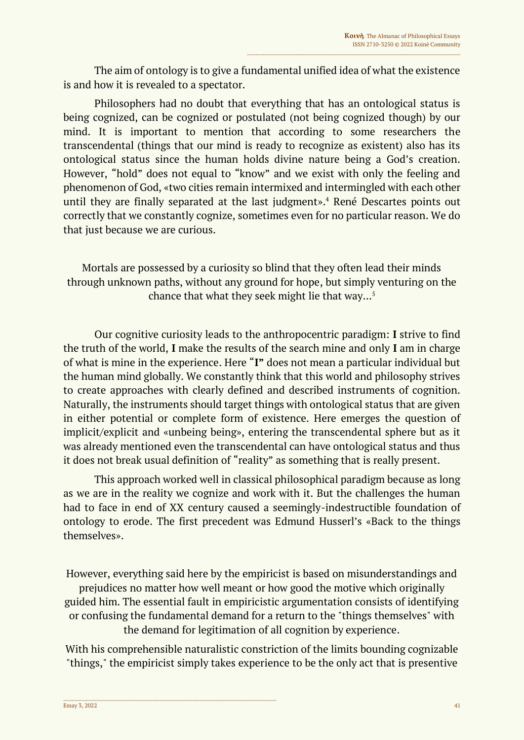The aim of ontology is to give a fundamental unified idea of what the existence is and how it is revealed to a spectator.

Philosophers had no doubt that everything that has an ontological status is being cognized, can be cognized or postulated (not being cognized though) by our mind. It is important to mention that according to some researchers the transcendental (things that our mind is ready to recognize as existent) also has its ontological status since the human holds divine nature being a God's creation. However, "hold" does not equal to "know" and we exist with only the feeling and phenomenon of God, «two cities remain intermixed and intermingled with each other until they are finally separated at the last judgment».<sup>4</sup> René Descartes points out correctly that we constantly cognize, sometimes even for no particular reason. We do that just because we are curious.

Mortals are possessed by a curiosity so blind that they often lead their minds through unknown paths, without any ground for hope, but simply venturing on the chance that what they seek might lie that way... 5

Our cognitive curiosity leads to the anthropocentric paradigm: **I** strive to find the truth of the world, **I** make the results of the search mine and only **I** am in charge of what is mine in the experience. Here "**I"** does not mean a particular individual but the human mind globally. We constantly think that this world and philosophy strives to create approaches with clearly defined and described instruments of cognition. Naturally, the instruments should target things with ontological status that are given in either potential or complete form of existence. Here emerges the question of implicit/explicit and «unbeing being», entering the transcendental sphere but as it was already mentioned even the transcendental can have ontological status and thus it does not break usual definition of "reality" as something that is really present.

This approach worked well in classical philosophical paradigm because as long as we are in the reality we cognize and work with it. But the challenges the human had to face in end of XX century caused a seemingly-indestructible foundation of ontology to erode. The first precedent was Edmund Husserl's «Back to the things themselves».

However, everything said here by the empiricist is based on misunderstandings and prejudices no matter how well meant or how good the motive which originally guided him. The essential fault in empiricistic argumentation consists of identifying or confusing the fundamental demand for a return to the "things themselves" with the demand for legitimation of all cognition by experience.

With his comprehensible naturalistic constriction of the limits bounding cognizable "things," the empiricist simply takes experience to be the only act that is presentive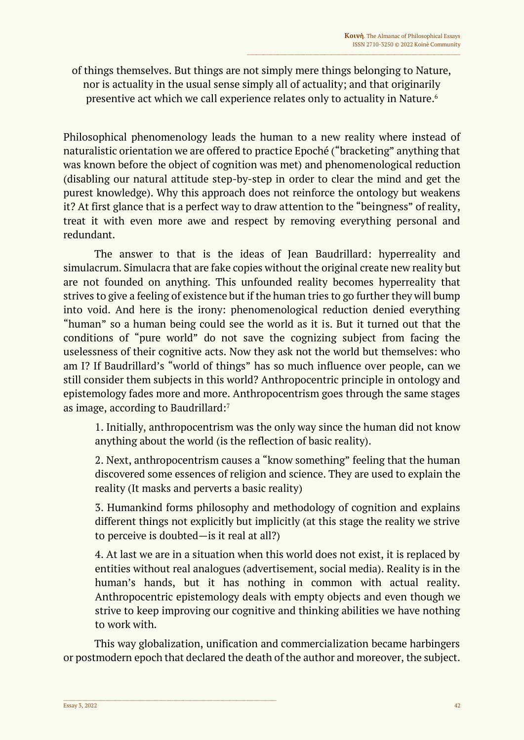of things themselves. But things are not simply mere things belonging to Nature, nor is actuality in the usual sense simply all of actuality; and that originarily presentive act which we call experience relates only to actuality in Nature. 6

Philosophical phenomenology leads the human to a new reality where instead of naturalistic orientation we are offered to practice Epoché ("bracketing" anything that was known before the object of cognition was met) and phenomenological reduction (disabling our natural attitude step-by-step in order to clear the mind and get the purest knowledge). Why this approach does not reinforce the ontology but weakens it? At first glance that is a perfect way to draw attention to the "beingness" of reality, treat it with even more awe and respect by removing everything personal and redundant.

The answer to that is the ideas of Jean Baudrillard: hyperreality and simulacrum. Simulacra that are fake copies without the original create new reality but are not founded on anything. This unfounded reality becomes hyperreality that strives to give a feeling of existence but if the human tries to go further they will bump into void. And here is the irony: phenomenological reduction denied everything "human" so a human being could see the world as it is. But it turned out that the conditions of "pure world" do not save the cognizing subject from facing the uselessness of their cognitive acts. Now they ask not the world but themselves: who am I? If Baudrillard's "world of things" has so much influence over people, can we still consider them subjects in this world? Anthropocentric principle in ontology and epistemology fades more and more. Anthropocentrism goes through the same stages as image, according to Baudrillard:<sup>7</sup>

1. Initially, anthropocentrism was the only way since the human did not know anything about the world (is the reflection of basic reality).

2. Next, anthropocentrism causes a "know something" feeling that the human discovered some essences of religion and science. They are used to explain the reality (It masks and perverts a basic reality)

3. Humankind forms philosophy and methodology of cognition and explains different things not explicitly but implicitly (at this stage the reality we strive to perceive is doubted—is it real at all?)

4. At last we are in a situation when this world does not exist, it is replaced by entities without real analogues (advertisement, social media). Reality is in the human's hands, but it has nothing in common with actual reality. Anthropocentric epistemology deals with empty objects and even though we strive to keep improving our cognitive and thinking abilities we have nothing to work with.

This way globalization, unification and commercialization became harbingers or postmodern epoch that declared the death of the author and moreover, the subject.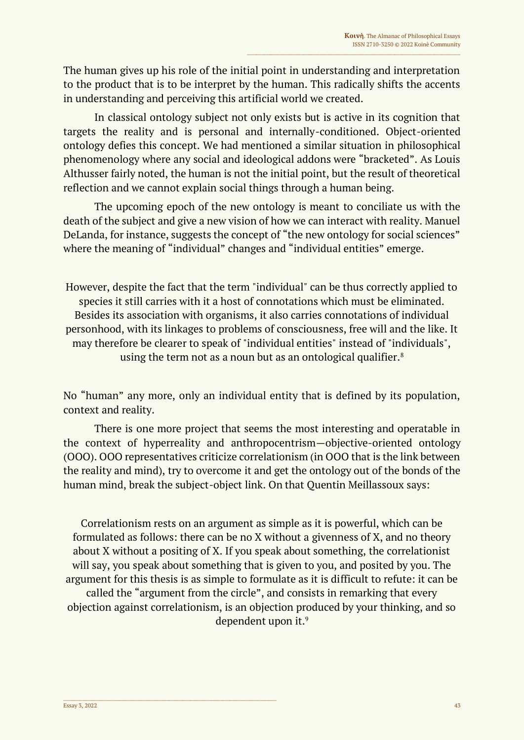The human gives up his role of the initial point in understanding and interpretation to the product that is to be interpret by the human. This radically shifts the accents in understanding and perceiving this artificial world we created.

In classical ontology subject not only exists but is active in its cognition that targets the reality and is personal and internally-conditioned. Object-oriented ontology defies this concept. We had mentioned a similar situation in philosophical phenomenology where any social and ideological addons were "bracketed". As Louis Althusser fairly noted, the human is not the initial point, but the result of theoretical reflection and we cannot explain social things through a human being.

The upcoming epoch of the new ontology is meant to conciliate us with the death of the subject and give a new vision of how we can interact with reality. Manuel DeLanda, for instance, suggests the concept of "the new ontology for social sciences" where the meaning of "individual" changes and "individual entities" emerge.

However, despite the fact that the term "individual" can be thus correctly applied to species it still carries with it a host of connotations which must be eliminated. Besides its association with organisms, it also carries connotations of individual personhood, with its linkages to problems of consciousness, free will and the like. It may therefore be clearer to speak of "individual entities" instead of "individuals", using the term not as a noun but as an ontological qualifier.<sup>8</sup>

No "human" any more, only an individual entity that is defined by its population, context and reality.

There is one more project that seems the most interesting and operatable in the context of hyperreality and anthropocentrism—objective-oriented ontology (OOO). OOO representatives criticize correlationism (in OOO that is the link between the reality and mind), try to overcome it and get the ontology out of the bonds of the human mind, break the subject-object link. On that Quentin Meillassoux says:

Correlationism rests on an argument as simple as it is powerful, which can be formulated as follows: there can be no X without a givenness of X, and no theory about X without a positing of X. If you speak about something, the correlationist will say, you speak about something that is given to you, and posited by you. The argument for this thesis is as simple to formulate as it is difficult to refute: it can be called the "argument from the circle", and consists in remarking that every objection against correlationism, is an objection produced by your thinking, and so dependent upon it.<sup>9</sup>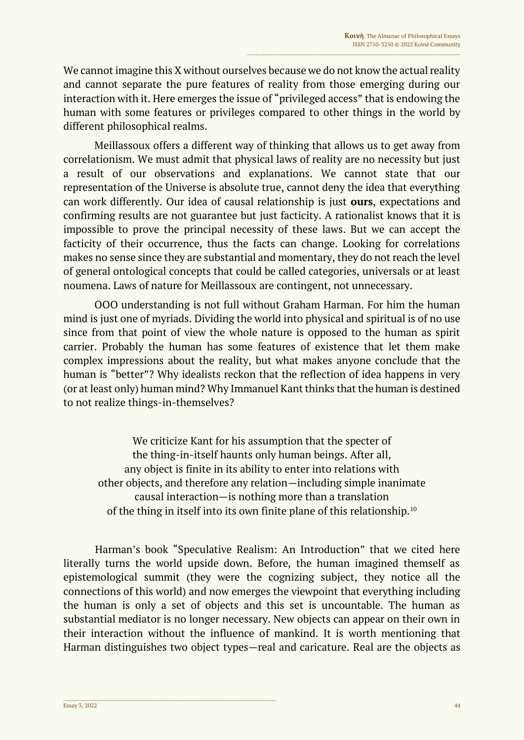We cannot imagine this X without ourselves because we do not know the actual reality and cannot separate the pure features of reality from those emerging during our interaction with it. Here emerges the issue of "privileged access" that is endowing the human with some features or privileges compared to other things in the world by different philosophical realms.

Meillassoux offers a different way of thinking that allows us to get away from correlationism. We must admit that physical laws of reality are no necessity but just a result of our observations and explanations. We cannot state that our representation of the Universe is absolute true, cannot deny the idea that everything can work differently. Our idea of causal relationship is just **ours**, expectations and confirming results are not guarantee but just facticity. A rationalist knows that it is impossible to prove the principal necessity of these laws. But we can accept the facticity of their occurrence, thus the facts can change. Looking for correlations makes no sense since they are substantial and momentary, they do not reach the level of general ontological concepts that could be called categories, universals or at least noumena. Laws of nature for Meillassoux are contingent, not unnecessary.

OOO understanding is not full without Graham Harman. For him the human mind is just one of myriads. Dividing the world into physical and spiritual is of no use since from that point of view the whole nature is opposed to the human as spirit carrier. Probably the human has some features of existence that let them make complex impressions about the reality, but what makes anyone conclude that the human is "better"? Why idealists reckon that the reflection of idea happens in very (or at least only) human mind? Why Immanuel Kant thinks that the human is destined to not realize things-in-themselves?

We criticize Kant for his assumption that the specter of the thing-in-itself haunts only human beings. After all, any object is finite in its ability to enter into relations with other objects, and therefore any relation—including simple inanimate causal interaction—is nothing more than a translation of the thing in itself into its own finite plane of this relationship.<sup>10</sup>

Harman's book "Speculative Realism: An Introduction" that we cited here literally turns the world upside down. Before, the human imagined themself as epistemological summit (they were the cognizing subject, they notice all the connections of this world) and now emerges the viewpoint that everything including the human is only a set of objects and this set is uncountable. The human as substantial mediator is no longer necessary. New objects can appear on their own in their interaction without the influence of mankind. It is worth mentioning that Harman distinguishes two object types—real and caricature. Real are the objects as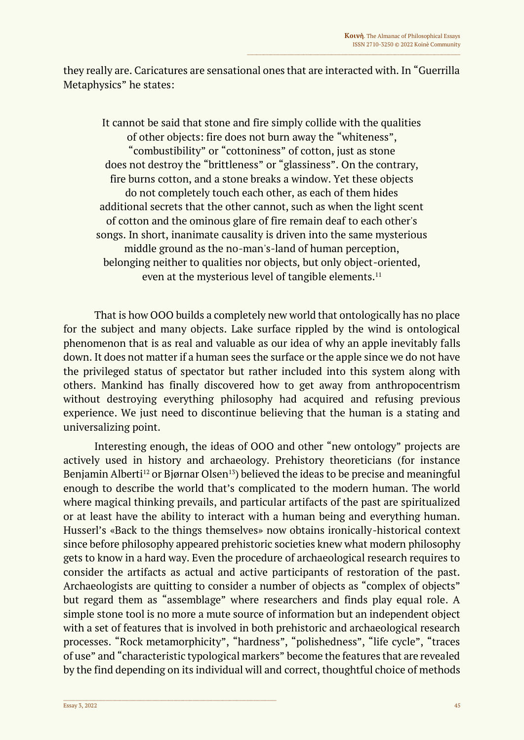they really are. Caricatures are sensational ones that are interacted with. In "Guerrilla Metaphysics" he states:

It cannot be said that stone and fire simply collide with the qualities of other objects: fire does not burn away the "whiteness", "combustibility" or "cottoniness" of cotton, just as stone does not destroy the "brittleness" or "glassiness". On the contrary, fire burns cotton, and a stone breaks a window. Yet these objects do not completely touch each other, as each of them hides additional secrets that the other cannot, such as when the light scent of cotton and the ominous glare of fire remain deaf to each other's songs. In short, inanimate causality is driven into the same mysterious middle ground as the no-man's-land of human perception, belonging neither to qualities nor objects, but only object-oriented, even at the mysterious level of tangible elements.<sup>11</sup>

That is how OOO builds a completely new world that ontologically has no place for the subject and many objects. Lake surface rippled by the wind is ontological phenomenon that is as real and valuable as our idea of why an apple inevitably falls down. It does not matter if a human sees the surface or the apple since we do not have the privileged status of spectator but rather included into this system along with others. Mankind has finally discovered how to get away from anthropocentrism without destroving everything philosophy had acquired and refusing previous experience. We just need to discontinue believing that the human is a stating and universalizing point.

Interesting enough, the ideas of OOO and other "new ontology" projects are actively used in history and archaeology. Prehistory theoreticians (for instance Benjamin Alberti<sup>12</sup> or Bjørnar Olsen<sup>13</sup>) believed the ideas to be precise and meaningful enough to describe the world that's complicated to the modern human. The world where magical thinking prevails, and particular artifacts of the past are spiritualized or at least have the ability to interact with a human being and everything human. Husserl's «Back to the things themselves» now obtains ironically-historical context since before philosophy appeared prehistoric societies knew what modern philosophy gets to know in a hard way. Even the procedure of archaeological research requires to consider the artifacts as actual and active participants of restoration of the past. Archaeologists are quitting to consider a number of objects as "complex of objects" but regard them as "assemblage" where researchers and finds play equal role. A simple stone tool is no more a mute source of information but an independent object with a set of features that is involved in both prehistoric and archaeological research processes. "Rock metamorphicity", "hardness", "polishedness", "life cycle", "traces of use" and "characteristic typological markers" become the features that are revealed by the find depending on its individual will and correct, thoughtful choice of methods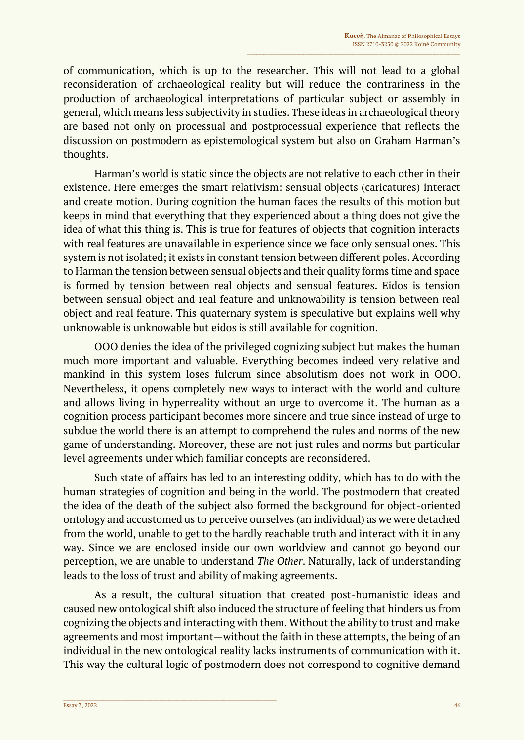of communication, which is up to the researcher. This will not lead to a global reconsideration of archaeological reality but will reduce the contrariness in the production of archaeological interpretations of particular subject or assembly in general, which means less subjectivity in studies. These ideas in archaeological theory are based not only on processual and postprocessual experience that reflects the discussion on postmodern as epistemological system but also on Graham Harman's thoughts.

Harman's world is static since the objects are not relative to each other in their existence. Here emerges the smart relativism: sensual objects (caricatures) interact and create motion. During cognition the human faces the results of this motion but keeps in mind that everything that they experienced about a thing does not give the idea of what this thing is. This is true for features of objects that cognition interacts with real features are unavailable in experience since we face only sensual ones. This system is not isolated; it exists in constant tension between different poles. According to Harman the tension between sensual objects and their quality forms time and space is formed by tension between real objects and sensual features. Eidos is tension between sensual object and real feature and unknowability is tension between real object and real feature. This quaternary system is speculative but explains well why unknowable is unknowable but eidos is still available for cognition.

OOO denies the idea of the privileged cognizing subject but makes the human much more important and valuable. Everything becomes indeed very relative and mankind in this system loses fulcrum since absolutism does not work in OOO. Nevertheless, it opens completely new ways to interact with the world and culture and allows living in hyperreality without an urge to overcome it. The human as a cognition process participant becomes more sincere and true since instead of urge to subdue the world there is an attempt to comprehend the rules and norms of the new game of understanding. Moreover, these are not just rules and norms but particular level agreements under which familiar concepts are reconsidered.

Such state of affairs has led to an interesting oddity, which has to do with the human strategies of cognition and being in the world. The postmodern that created the idea of the death of the subject also formed the background for object-oriented ontology and accustomed us to perceive ourselves (an individual) as we were detached from the world, unable to get to the hardly reachable truth and interact with it in any way. Since we are enclosed inside our own worldview and cannot go beyond our perception, we are unable to understand *The Other*. Naturally, lack of understanding leads to the loss of trust and ability of making agreements.

As a result, the cultural situation that created post-humanistic ideas and caused new ontological shift also induced the structure of feeling that hinders us from cognizing the objects and interacting with them. Without the ability to trust and make agreements and most important—without the faith in these attempts, the being of an individual in the new ontological reality lacks instruments of communication with it. This way the cultural logic of postmodern does not correspond to cognitive demand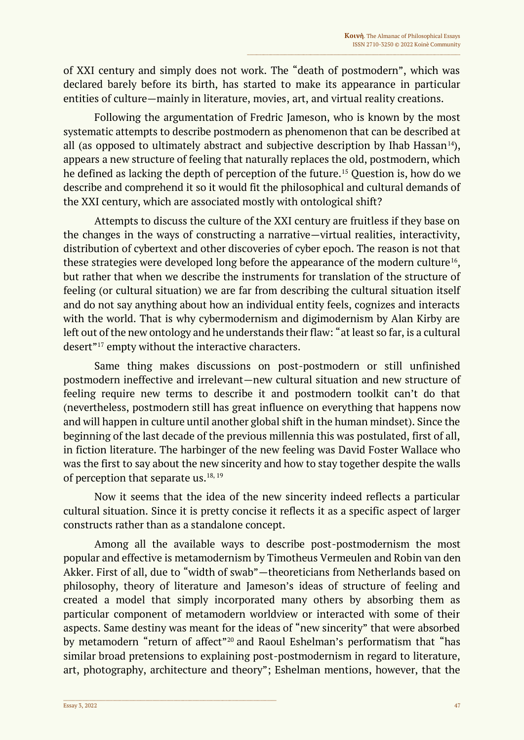of XXI century and simply does not work. The "death of postmodern", which was declared barely before its birth, has started to make its appearance in particular entities of culture—mainly in literature, movies, art, and virtual reality creations.

Following the argumentation of Fredric Jameson, who is known by the most systematic attempts to describe postmodern as phenomenon that can be described at all (as opposed to ultimately abstract and subjective description by Ihab Hassan<sup>14</sup>), appears a new structure of feeling that naturally replaces the old, postmodern, which he defined as lacking the depth of perception of the future.<sup>15</sup> Question is, how do we describe and comprehend it so it would fit the philosophical and cultural demands of the XXI century, which are associated mostly with ontological shift?

Attempts to discuss the culture of the XXI century are fruitless if they base on the changes in the ways of constructing a narrative—virtual realities, interactivity, distribution of cybertext and other discoveries of cyber epoch. The reason is not that these strategies were developed long before the appearance of the modern culture<sup>16</sup>, but rather that when we describe the instruments for translation of the structure of feeling (or cultural situation) we are far from describing the cultural situation itself and do not say anything about how an individual entity feels, cognizes and interacts with the world. That is why cybermodernism and digimodernism by Alan Kirby are left out of the new ontology and he understands their flaw: "at least so far, is a cultural desert"<sup>17</sup> empty without the interactive characters.

Same thing makes discussions on post-postmodern or still unfinished postmodern ineffective and irrelevant—new cultural situation and new structure of feeling require new terms to describe it and postmodern toolkit can't do that (nevertheless, postmodern still has great influence on everything that happens now and will happen in culture until another global shift in the human mindset). Since the beginning of the last decade of the previous millennia this was postulated, first of all, in fiction literature. The harbinger of the new feeling was David Foster Wallace who was the first to say about the new sincerity and how to stay together despite the walls of perception that separate us. $18, 19$ 

Now it seems that the idea of the new sincerity indeed reflects a particular cultural situation. Since it is pretty concise it reflects it as a specific aspect of larger constructs rather than as a standalone concept.

Among all the available ways to describe post-postmodernism the most popular and effective is metamodernism by Timotheus Vermeulen and Robin van den Akker. First of all, due to "width of swab"—theoreticians from Netherlands based on philosophy, theory of literature and Jameson's ideas of structure of feeling and created a model that simply incorporated many others by absorbing them as particular component of metamodern worldview or interacted with some of their aspects. Same destiny was meant for the ideas of "new sincerity" that were absorbed by metamodern "return of affect"<sup>20</sup> and Raoul Eshelman's performatism that "has similar broad pretensions to explaining post-postmodernism in regard to literature, art, photography, architecture and theory"; Eshelman mentions, however, that the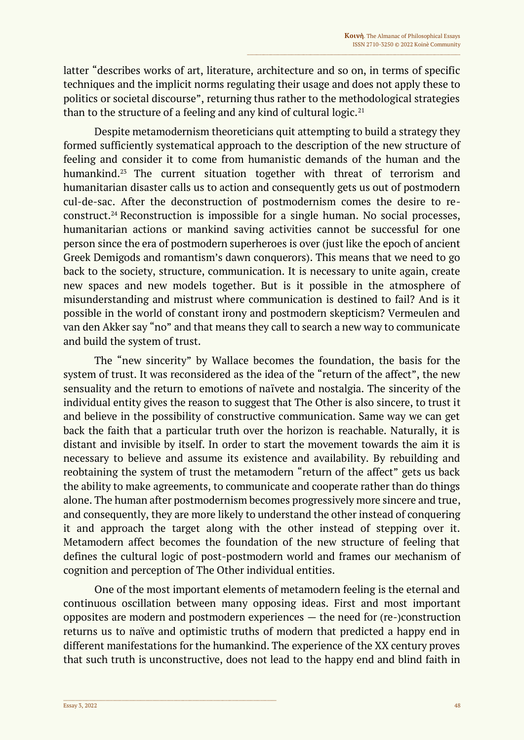latter "describes works of art, literature, architecture and so on, in terms of specific techniques and the implicit norms regulating their usage and does not apply these to politics or societal discourse", returning thus rather to the methodological strategies than to the structure of a feeling and any kind of cultural logic. $21$ 

Despite metamodernism theoreticians quit attempting to build a strategy they formed sufficiently systematical approach to the description of the new structure of feeling and consider it to come from humanistic demands of the human and the humankind.<sup>23</sup> The current situation together with threat of terrorism and humanitarian disaster calls us to action and consequently gets us out of postmodern cul-de-sac. After the deconstruction of postmodernism comes the desire to reconstruct.<sup>24</sup> Reconstruction is impossible for a single human. No social processes, humanitarian actions or mankind saving activities cannot be successful for one person since the era of postmodern superheroes is over (just like the epoch of ancient Greek Demigods and romantism's dawn conquerors). This means that we need to go back to the society, structure, communication. It is necessary to unite again, create new spaces and new models together. But is it possible in the atmosphere of misunderstanding and mistrust where communication is destined to fail? And is it possible in the world of constant irony and postmodern skepticism? Vermeulen and van den Akker say "no" and that means they call to search a new way to communicate and build the system of trust.

The "new sincerity" by Wallace becomes the foundation, the basis for the system of trust. It was reconsidered as the idea of the "return of the affect", the new sensuality and the return to emotions of naїvete and nostalgia. The sincerity of the individual entity gives the reason to suggest that The Other is also sincere, to trust it and believe in the possibility of constructive communication. Same way we can get back the faith that a particular truth over the horizon is reachable. Naturally, it is distant and invisible by itself. In order to start the movement towards the aim it is necessary to believe and assume its existence and availability. By rebuilding and reobtaining the system of trust the metamodern "return of the affect" gets us back the ability to make agreements, to communicate and cooperate rather than do things alone. The human after postmodernism becomes progressively more sincere and true, and consequently, they are more likely to understand the other instead of conquering it and approach the target along with the other instead of stepping over it. Metamodern affect becomes the foundation of the new structure of feeling that defines the cultural logic of post-postmodern world and frames our меchanism of cognition and perception of The Other individual entities.

One of the most important elements of metamodern feeling is the eternal and continuous oscillation between many opposing ideas. First and most important opposites are modern and postmodern experiences — the need for (re-)construction returns us to naïve and optimistic truths of modern that predicted a happy end in different manifestations for the humankind. The experience of the XX century proves that such truth is unconstructive, does not lead to the happy end and blind faith in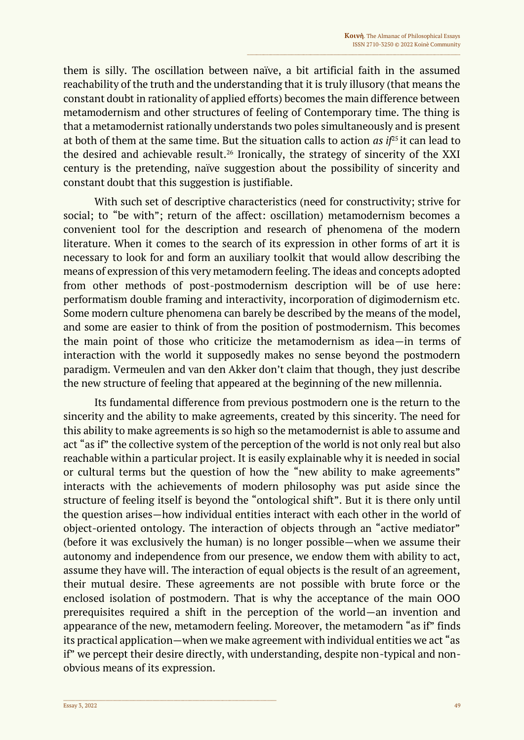them is silly. The oscillation between naïve, a bit artificial faith in the assumed reachability of the truth and the understanding that it is truly illusory (that means the constant doubt in rationality of applied efforts) becomes the main difference between metamodernism and other structures of feeling of Contemporary time. The thing is that a metamodernist rationally understands two poles simultaneously and is present at both of them at the same time. But the situation calls to action *as if*<sup>25</sup>it can lead to the desired and achievable result.<sup>26</sup> Ironically, the strategy of sincerity of the XXI century is the pretending, naïve suggestion about the possibility of sincerity and constant doubt that this suggestion is justifiable.

With such set of descriptive characteristics (need for constructivity; strive for social; to "be with"; return of the affect: oscillation) metamodernism becomes a convenient tool for the description and research of phenomena of the modern literature. When it comes to the search of its expression in other forms of art it is necessary to look for and form an auxiliary toolkit that would allow describing the means of expression of this very metamodern feeling. The ideas and concepts adopted from other methods of post-postmodernism description will be of use here: performatism double framing and interactivity, incorporation of digimodernism etc. Some modern culture phenomena can barely be described by the means of the model, and some are easier to think of from the position of postmodernism. This becomes the main point of those who criticize the metamodernism as idea—in terms of interaction with the world it supposedly makes no sense beyond the postmodern paradigm. Vermeulen and van den Akker don't claim that though, they just describe the new structure of feeling that appeared at the beginning of the new millennia.

Its fundamental difference from previous postmodern one is the return to the sincerity and the ability to make agreements, created by this sincerity. The need for this ability to make agreements is so high so the metamodernist is able to assume and act "as if" the collective system of the perception of the world is not only real but also reachable within a particular project. It is easily explainable why it is needed in social or cultural terms but the question of how the "new ability to make agreements" interacts with the achievements of modern philosophy was put aside since the structure of feeling itself is beyond the "ontological shift". But it is there only until the question arises—how individual entities interact with each other in the world of object-oriented ontology. The interaction of objects through an "active mediator" (before it was exclusively the human) is no longer possible—when we assume their autonomy and independence from our presence, we endow them with ability to act, assume they have will. The interaction of equal objects is the result of an agreement, their mutual desire. These agreements are not possible with brute force or the enclosed isolation of postmodern. That is why the acceptance of the main OOO prerequisites required a shift in the perception of the world—an invention and appearance of the new, metamodern feeling. Moreover, the metamodern "as if" finds its practical application—when we make agreement with individual entities we act "as if" we percept their desire directly, with understanding, despite non-typical and nonobvious means of its expression.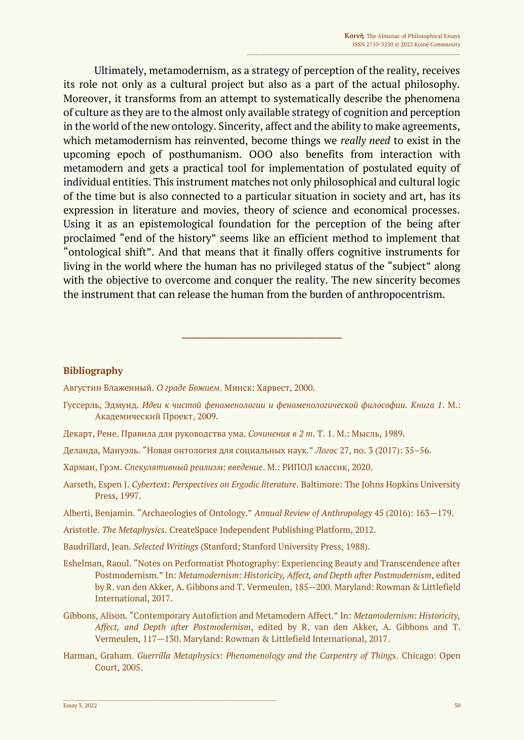Ultimately, metamodernism, as a strategy of perception of the reality, receives its role not only as a cultural project but also as a part of the actual philosophy. Moreover, it transforms from an attempt to systematically describe the phenomena of culture as they are to the almost only available strategy of cognition and perception in the world of the new ontology. Sincerity, affect and the ability to make agreements, which metamodernism has reinvented, become things we *really need* to exist in the upcoming epoch of posthumanism. OOO also benefits from interaction with metamodern and gets a practical tool for implementation of postulated equity of individual entities. This instrument matches not only philosophical and cultural logic of the time but is also connected to a particular situation in society and art, has its expression in literature and movies, theory of science and economical processes. Using it as an epistemological foundation for the perception of the being after proclaimed "end of the history" seems like an efficient method to implement that "ontological shift". And that means that it finally offers cognitive instruments for living in the world where the human has no privileged status of the "subject" along with the objective to overcome and conquer the reality. The new sincerity becomes the instrument that can release the human from the burden of anthropocentrism.

## **Bibliography**

Августин Блаженный. *О граде Божием*. Минск: Харвест, 2000.

Гуссерль, Эдмунд. *Идеи к чистой феноменологии и феноменологической философии. Книга 1*. М.: Академический Проект, 2009.

**\_\_\_\_\_\_\_\_\_\_\_\_\_\_\_\_\_\_\_\_\_\_\_\_\_\_\_\_\_\_\_\_\_\_\_\_\_**

- Декарт, Рене. Правила для руководства ума. *Сочинения в 2 т.* Т. 1. М.: Мысль, 1989.
- Деланда, Мануэль. "Новая онтология для социальных наук." *Логос* 27, no. 3 (2017): 35–56.
- Харман, Грэм. *Спекулятивный реализм: введение*. М.: РИПОЛ классик, 2020.
- Aarseth, Espen J. *Cybertext: Perspectives on Ergodic literature*. Baltimore: The Johns Hopkins University Press, 1997.
- Alberti, Benjamin. "Archaeologies of Ontology." *Annual Review of Anthropology* 45 (2016): 163—179.
- Aristotle. *The Metaphysics*. CreateSpace Independent Publishing Platform, 2012.
- Baudrillard, Jean. *Selected Writings* (Stanford; Stanford University Press, 1988).

- Eshelman, Raoul. "Notes on Performatist Photography: Experiencing Beauty and Transcendence after Postmodernism." In: *Metamodernism: Historicity, Affect, and Depth after Postmodernism*, edited by R. van den Akker, A. Gibbons and T. Vermeulen, 185—200. Maryland: Rowman & Littlefield International, 2017.
- Gibbons, Alison. "Contemporary Autofiction and Metamodern Affect." In: *Metamodernism: Historicity, Affect, and Depth after Postmodernism*, edited by R. van den Akker, A. Gibbons and T. Vermeulen, 117—130. Maryland: Rowman & Littlefield International, 2017.
- Harman, Graham. *Guerrilla Metaphysics: Phenomenology and the Carpentry of Things*. Chicago: Open Court, 2005.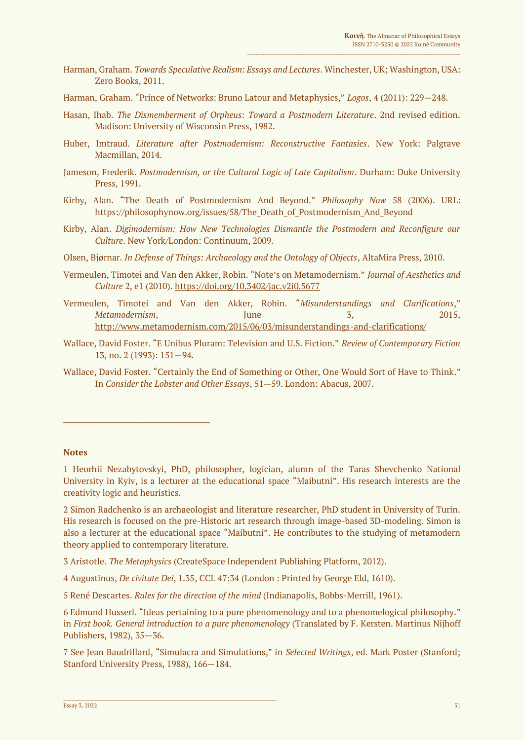- Harman, Graham. *Towards Speculative Realism: Essays and Lectures*. Winchester, UK; Washington, USA: Zero Books, 2011.
- Harman, Graham. "Prince of Networks: Bruno Latour and Metaphysics," *Logos*, 4 (2011): 229—248.
- Hasan, Ihab. *The Dismemberment of Orpheus: Toward a Postmodern Literature*. 2nd revised edition. Madison: University of Wisconsin Press, 1982.
- Huber, Imtraud. *Literature after Postmodernism: Reconstructive Fantasies*. New York: Palgrave Macmillan, 2014.
- Jameson, Frederik. *Postmodernism, or the Cultural Logic of Late Capitalism*. Durham: Duke University Press, 1991.
- Kirby, Alan. "The Death of Postmodernism And Beyond." *Philosophy Now* 58 (2006). URL: https://philosophynow.org/issues/58/The\_Death\_of\_Postmodernism\_And\_Beyond
- Kirby, Alan. *Digimodernism: How New Technologies Dismantle the Postmodern and Reconfigure our Culture*. New York/London: Continuum, 2009.
- Olsen, Bjørnar. *In Defense of Things: Archaeology and the Ontology of Objects*, AltaMira Press, 2010.
- Vermeulen, Timotei and Van den Akker, Robin. "Note's on Metamodernism." *Journal of Aesthetics and Culture* 2, e1 (2010).<https://doi.org/10.3402/jac.v2i0.5677>
- Vermeulen, Timotei and Van den Akker, Robin. "*Misunderstandings and Clarifications*," *Metamodernism*, June 3, 2015, <http://www.metamodernism.com/2015/06/03/misunderstandings-and-clarifications/>
- Wallace, David Foster. "E Unibus Pluram: Television and U.S. Fiction." *Review of Contemporary Fiction* 13, no. 2 (1993): 151—94.
- Wallace, David Foster. "Certainly the End of Something or Other, One Would Sort of Have to Think." In *Consider the Lobster and Other Essays*, 51—59. London: Abacus, 2007.

## **Notes**

**\_\_\_\_\_\_\_\_\_\_\_\_\_\_\_\_\_\_\_\_\_\_\_\_\_\_\_\_\_\_\_\_\_\_\_\_\_**

2 Simon Radchenko is an archaeologist and literature researcher, PhD student in University of Turin. His research is focused on the pre-Historic art research through image-based 3D-modeling. Simon is also a lecturer at the educational space "Maibutni". He contributes to the studying of metamodern theory applied to contemporary literature.

3 Aristotle. *The Metaphysics* (CreateSpace Independent Publishing Platform, 2012).

 $\_$  , and the set of the set of the set of the set of the set of the set of the set of the set of the set of the set of the set of the set of the set of the set of the set of the set of the set of the set of the set of th

4 Augustinus, *De civitate Dei*, 1.35, CCL 47:34 (London : Printed by George Eld, 1610).

5 René Descartes. *Rules for the direction of the mind* (Indianapolis, Bobbs-Merrill, 1961).

6 Edmund Husserl. "Ideas pertaining to a pure phenomenology and to a phenomelogical philosophy." in *First book. General introduction to a pure phenomenology* (Translated by F. Kersten. Martinus Nijhoff Publishers, 1982), 35—36.

7 See Jean Baudrillard, "Simulacra and Simulations," in *Selected Writings*, ed. Mark Poster (Stanford; Stanford University Press, 1988), 166—184.

<sup>1</sup> Heorhii Nezabytovskyi, PhD, philosopher, logician, alumn of the Taras Shevchenko National University in Kyiv, is a lecturer at the educational space "Maibutni". His research interests are the creativity logic and heuristics.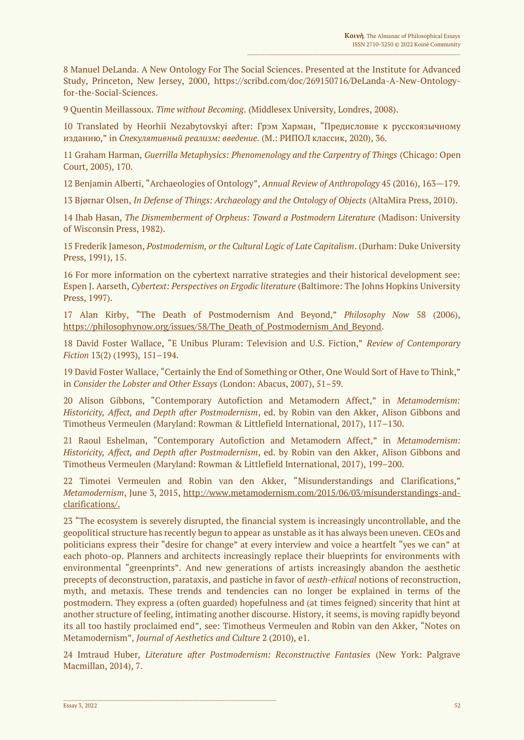8 Manuel DeLanda. A New Ontology For The Social Sciences. Presented at the Institute for Advanced Study, Princeton, New Jersey, 2000, https://scribd.com/doc/269150716/DeLanda-A-New-Ontologyfor-the-Social-Sciences.

9 Quentin Meillassoux. *Time without Becoming*. (Middlesex University, Londres, 2008).

10 Translated by Heorhii Nezabytovskyi after: Грэм Харман, "Предисловие к русскоязычному изданию," in *Спекулятивный реализм: введение.* (М.: РИПОЛ классик, 2020), 36.

11 Graham Harman, *Guerrilla Metaphysics: Phenomenology and the Carpentry of Things* (Chicago: Open Court, 2005), 170.

12 Benjamin Alberti, "Archaeologies of Ontology", *Annual Review of Anthropology* 45 (2016), 163—179.

13 Bjørnar Olsen, *In Defense of Things: Archaeology and the Ontology of Objects* (AltaMira Press, 2010).

14 Ihab Hasan, *The Dismemberment of Orpheus: Toward a Postmodern Literature* (Madison: University of Wisconsin Press, 1982).

15 Frederik Jameson, *Postmodernism, or the Cultural Logic of Late Capitalism*. (Durham: Duke University Press, 1991), 15.

16 For more information on the cybertext narrative strategies and their historical development see: Espen J. Aarseth, *Cybertext: Perspectives on Ergodic literature* (Baltimore: The Johns Hopkins University Press, 1997).

17 Alan Kirby, "The Death of Postmodernism And Beyond," *Philosophy Now* 58 (2006), [https://philosophynow.org/issues/58/The\\_Death\\_of\\_Postmodernism\\_And\\_Beyond.](https://philosophynow.org/issues/58/The_Death_of_Postmodernism_And_Beyond)

18 David Foster Wallace, "E Unibus Pluram: Television and U.S. Fiction," *Review of Contemporary Fiction* 13(2) (1993), 151–194.

19 David Foster Wallace, "Certainly the End of Something or Other, One Would Sort of Have to Think," in *Consider the Lobster and Other Essays* (London: Abacus, 2007), 51–59.

20 Alison Gibbons, "Contemporary Autofiction and Metamodern Affect," in *Metamodernism: Historicity, Affect, and Depth after Postmodernism*, ed. by Robin van den Akker, Alison Gibbons and Timotheus Vermeulen (Maryland: Rowman & Littlefield International, 2017), 117–130.

21 Raoul Eshelman, "Contemporary Autofiction and Metamodern Affect," in *Metamodernism: Historicity, Affect, and Depth after Postmodernism*, ed. by Robin van den Akker, Alison Gibbons and Timotheus Vermeulen (Maryland: Rowman & Littlefield International, 2017), 199–200.

22 Timotei Vermeulen and Robin van den Akker, "Misunderstandings and Clarifications," *Metamodernism*, June 3, 2015, [http://www.metamodernism.com/2015/06/03/misunderstandings-and](http://www.metamodernism.com/2015/06/03/misunderstandings-and-clarifications/)[clarifications/.](http://www.metamodernism.com/2015/06/03/misunderstandings-and-clarifications/)

23 "The ecosystem is severely disrupted, the financial system is increasingly uncontrollable, and the geopolitical structure has recently begun to appear as unstable as it has always been uneven. CEOs and politicians express their "desire for change" at every interview and voice a heartfelt "yes we can" at each photo-op. Planners and architects increasingly replace their blueprints for environments with environmental "greenprints". And new generations of artists increasingly abandon the aesthetic precepts of deconstruction, parataxis, and pastiche in favor of *aesth-ethical* notions of reconstruction, myth, and metaxis. These trends and tendencies can no longer be explained in terms of the postmodern. They express a (often guarded) hopefulness and (at times feigned) sincerity that hint at another structure of feeling, intimating another discourse. History, it seems, is moving rapidly beyond its all too hastily proclaimed end", see: Timotheus Vermeulen and Robin van den Akker, "Notes on Metamodernism", *Journal of Aesthetics and Culture* 2 (2010), e1.

24 Imtraud Huber, *Literature after Postmodernism: Reconstructive Fantasies* (New York: Palgrave Macmillan, 2014), 7.